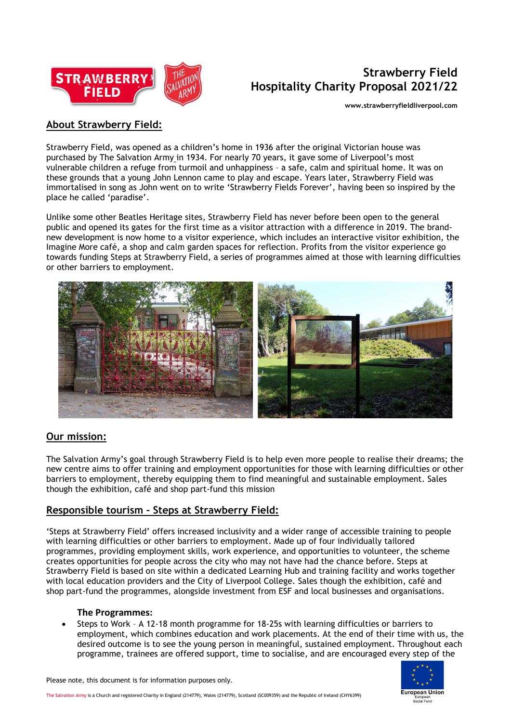

# **Strawberry Field Hospitality Charity Proposal 2021/22**

**www.strawberryfieldliverpool.com**

## **About Strawberry Field:**

Strawberry Field, was opened as a children's home in 1936 after the original Victorian house was purchased by [The Salvation Army](https://www.salvationarmy.org.uk/) in 1934. For nearly 70 years, it gave some of Liverpool's most vulnerable children a refuge from turmoil and unhappiness – a safe, calm and spiritual home. It was on these grounds that a young John Lennon came to play and escape. Years later, Strawberry Field was immortalised in song as John went on to write 'Strawberry Fields Forever', having been so inspired by the place he called 'paradise'.

Unlike some other Beatles Heritage sites, Strawberry Field has never before been open to the general public and opened its gates for the first time as a visitor attraction with a difference in 2019. The brandnew development is now home to a visitor experience, which includes an interactive visitor exhibition, the Imagine More café, a shop and calm garden spaces for reflection. Profits from the visitor experience go towards funding Steps at Strawberry Field, a series of programmes aimed at those with learning difficulties or other barriers to employment.



### **Our mission:**

The Salvation Army's goal through Strawberry Field is to help even more people to realise their dreams; the new centre aims to offer training and employment opportunities for those with learning difficulties or other barriers to employment, thereby equipping them to find meaningful and sustainable employment. Sales though the exhibition, café and shop part-fund this mission

## **Responsible tourism – Steps at Strawberry Field:**

'Steps at Strawberry Field' offers increased inclusivity and a wider range of accessible training to people with learning difficulties or other barriers to employment. Made up of four individually tailored programmes, providing employment skills, work experience, and opportunities to volunteer, the scheme creates opportunities for people across the city who may not have had the chance before. Steps at Strawberry Field is based on site within a dedicated Learning Hub and training facility and works together with local education providers and the City of Liverpool College. Sales though the exhibition, café and shop part-fund the programmes, alongside investment from ESF and local businesses and organisations.

#### **The Programmes:**

• Steps to Work – A 12-18 month programme for 18-25s with learning difficulties or barriers to employment, which combines education and work placements. At the end of their time with us, the desired outcome is to see the young person in meaningful, sustained employment. Throughout each programme, trainees are offered support, time to socialise, and are encouraged every step of the



Please note, this document is for information purposes only.